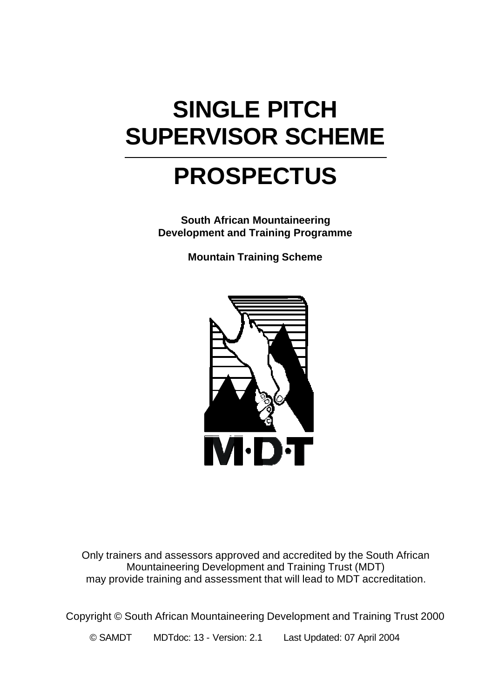# **SINGLE PITCH SUPERVISOR SCHEME**

# **PROSPECTUS**

**South African Mountaineering Development and Training Programme**

**Mountain Training Scheme**



Only trainers and assessors approved and accredited by the South African Mountaineering Development and Training Trust (MDT) may provide training and assessment that will lead to MDT accreditation.

Copyright © South African Mountaineering Development and Training Trust 2000

© SAMDT MDTdoc: 13 - Version: 2.1 Last Updated: 07 April 2004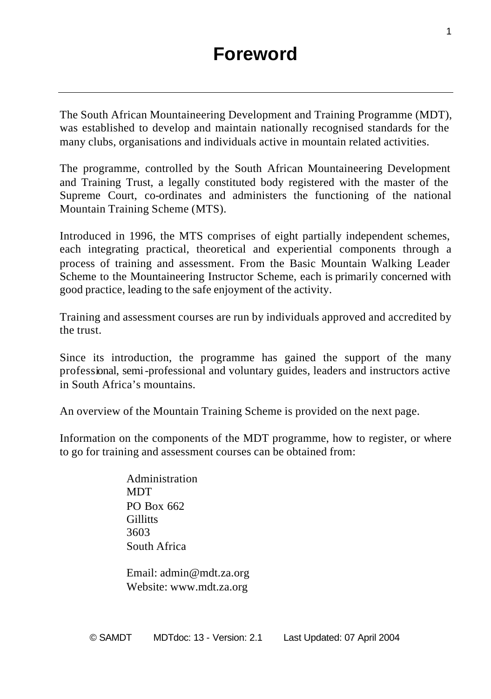The South African Mountaineering Development and Training Programme (MDT), was established to develop and maintain nationally recognised standards for the many clubs, organisations and individuals active in mountain related activities.

The programme, controlled by the South African Mountaineering Development and Training Trust, a legally constituted body registered with the master of the Supreme Court, co-ordinates and administers the functioning of the national Mountain Training Scheme (MTS).

Introduced in 1996, the MTS comprises of eight partially independent schemes, each integrating practical, theoretical and experiential components through a process of training and assessment. From the Basic Mountain Walking Leader Scheme to the Mountaineering Instructor Scheme, each is primarily concerned with good practice, leading to the safe enjoyment of the activity.

Training and assessment courses are run by individuals approved and accredited by the trust.

Since its introduction, the programme has gained the support of the many professional, semi-professional and voluntary guides, leaders and instructors active in South Africa's mountains.

An overview of the Mountain Training Scheme is provided on the next page.

Information on the components of the MDT programme, how to register, or where to go for training and assessment courses can be obtained from:

> Administration **MDT** PO Box 662 **Gillitts** 3603 South Africa

Email: admin@mdt.za.org Website: www.mdt.za.org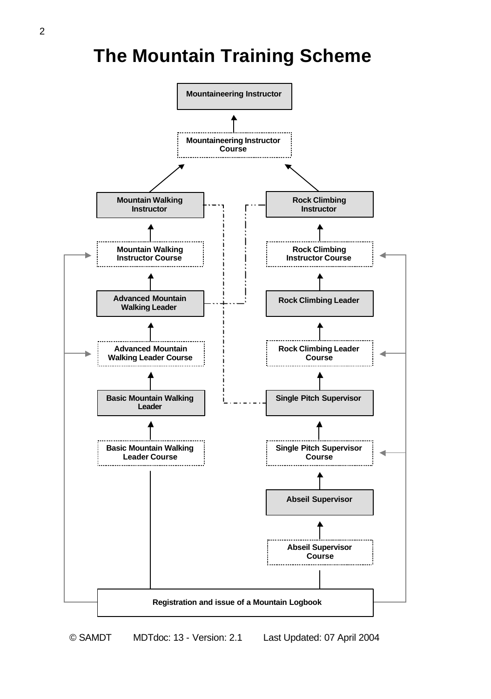## **The Mountain Training Scheme**

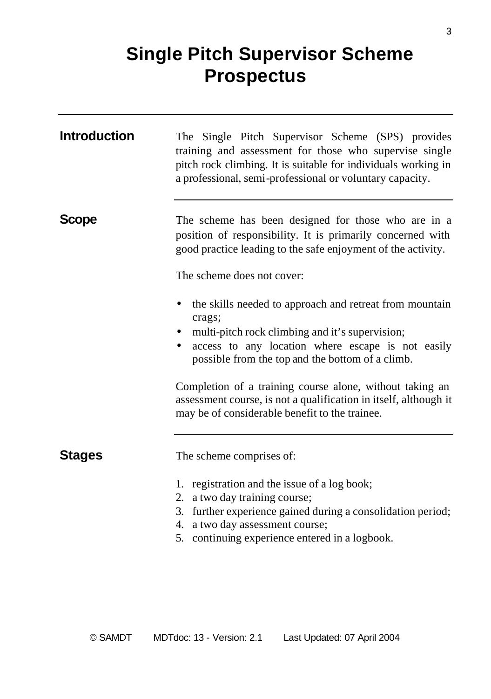## **Single Pitch Supervisor Scheme Prospectus**

| <b>Introduction</b> | The Single Pitch Supervisor Scheme (SPS) provides<br>training and assessment for those who supervise single<br>pitch rock climbing. It is suitable for individuals working in<br>a professional, semi-professional or voluntary capacity.                                                                                                                                                                            |
|---------------------|----------------------------------------------------------------------------------------------------------------------------------------------------------------------------------------------------------------------------------------------------------------------------------------------------------------------------------------------------------------------------------------------------------------------|
| <b>Scope</b>        | The scheme has been designed for those who are in a<br>position of responsibility. It is primarily concerned with<br>good practice leading to the safe enjoyment of the activity.<br>The scheme does not cover:                                                                                                                                                                                                      |
|                     | the skills needed to approach and retreat from mountain<br>٠<br>crags;<br>multi-pitch rock climbing and it's supervision;<br>access to any location where escape is not easily<br>possible from the top and the bottom of a climb.<br>Completion of a training course alone, without taking an<br>assessment course, is not a qualification in itself, although it<br>may be of considerable benefit to the trainee. |
| <b>Stages</b>       | The scheme comprises of:<br>1. registration and the issue of a log book;<br>a two day training course;<br>2.<br>3. further experience gained during a consolidation period;<br>4. a two day assessment course;<br>5. continuing experience entered in a logbook.                                                                                                                                                     |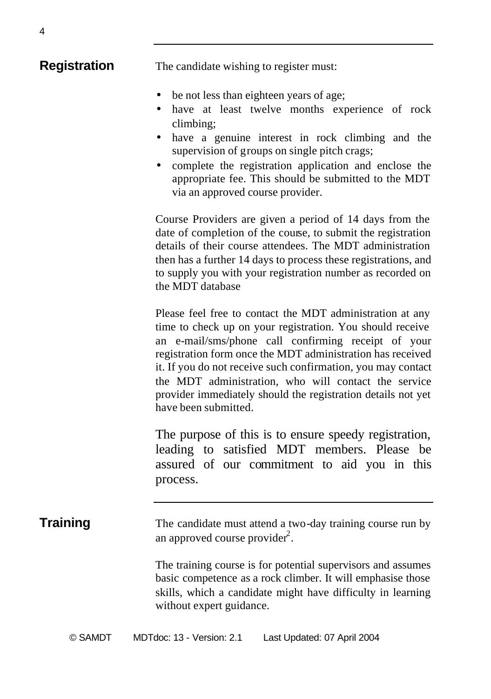- be not less than eighteen years of age;
- have at least twelve months experience of rock climbing;
- have a genuine interest in rock climbing and the supervision of groups on single pitch crags;
- complete the registration application and enclose the appropriate fee. This should be submitted to the MDT via an approved course provider.

Course Providers are given a period of 14 days from the date of completion of the course, to submit the registration details of their course attendees. The MDT administration then has a further 14 days to process these registrations, and to supply you with your registration number as recorded on the MDT database

Please feel free to contact the MDT administration at any time to check up on your registration. You should receive an e-mail/sms/phone call confirming receipt of your registration form once the MDT administration has received it. If you do not receive such confirmation, you may contact the MDT administration, who will contact the service provider immediately should the registration details not yet have been submitted.

The purpose of this is to ensure speedy registration, leading to satisfied MDT members. Please be assured of our commitment to aid you in this process.

**Training** The candidate must attend a two-day training course run by an approved course provider $2$ .

> The training course is for potential supervisors and assumes basic competence as a rock climber. It will emphasise those skills, which a candidate might have difficulty in learning without expert guidance.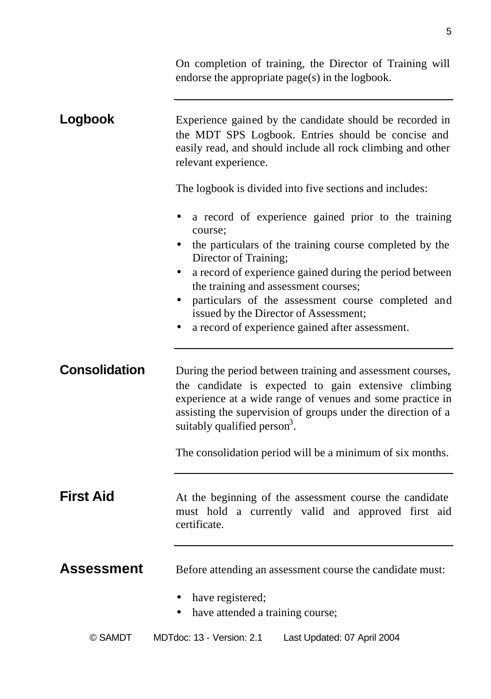|                      | On completion of training, the Director of Training will<br>endorse the appropriate page(s) in the logbook.                                                                                                                                                                                 |
|----------------------|---------------------------------------------------------------------------------------------------------------------------------------------------------------------------------------------------------------------------------------------------------------------------------------------|
| Logbook              | Experience gained by the candidate should be recorded in<br>the MDT SPS Logbook. Entries should be concise and<br>easily read, and should include all rock climbing and other<br>relevant experience.                                                                                       |
|                      | The logbook is divided into five sections and includes:                                                                                                                                                                                                                                     |
|                      | a record of experience gained prior to the training<br>course:                                                                                                                                                                                                                              |
|                      | the particulars of the training course completed by the<br>Director of Training;                                                                                                                                                                                                            |
|                      | a record of experience gained during the period between<br>the training and assessment courses;                                                                                                                                                                                             |
|                      | particulars of the assessment course completed and<br>issued by the Director of Assessment;                                                                                                                                                                                                 |
|                      | a record of experience gained after assessment.                                                                                                                                                                                                                                             |
| <b>Consolidation</b> | During the period between training and assessment courses,<br>the candidate is expected to gain extensive climbing<br>experience at a wide range of venues and some practice in<br>assisting the supervision of groups under the direction of a<br>suitably qualified person <sup>3</sup> . |
|                      | The consolidation period will be a minimum of six months.                                                                                                                                                                                                                                   |
| <b>First Aid</b>     | At the beginning of the assessment course the candidate<br>must hold a currently valid and approved first aid<br>certificate.                                                                                                                                                               |
| <b>Assessment</b>    | Before attending an assessment course the candidate must:                                                                                                                                                                                                                                   |
|                      | have registered;<br>have attended a training course;                                                                                                                                                                                                                                        |
| © SAMDT              | MDTdoc: 13 - Version: 2.1<br>Last Updated: 07 April 2004                                                                                                                                                                                                                                    |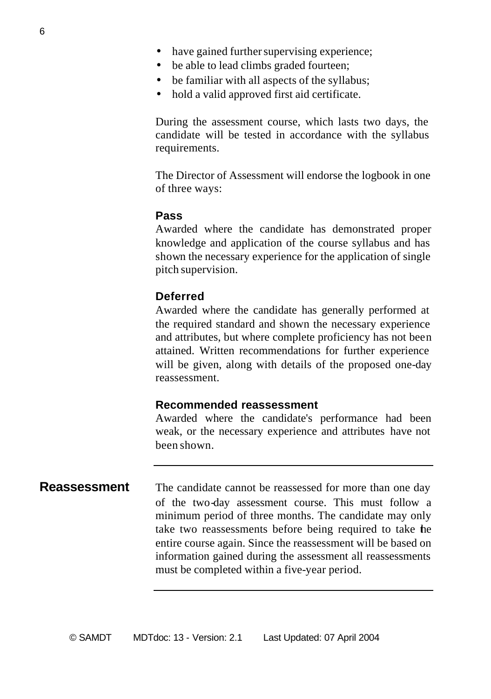- have gained further supervising experience;
- be able to lead climbs graded fourteen;
- be familiar with all aspects of the syllabus;
- hold a valid approved first aid certificate.

During the assessment course, which lasts two days, the candidate will be tested in accordance with the syllabus requirements.

The Director of Assessment will endorse the logbook in one of three ways:

### **Pass**

Awarded where the candidate has demonstrated proper knowledge and application of the course syllabus and has shown the necessary experience for the application of single pitch supervision.

### **Deferred**

Awarded where the candidate has generally performed at the required standard and shown the necessary experience and attributes, but where complete proficiency has not been attained. Written recommendations for further experience will be given, along with details of the proposed one-day reassessment.

### **Recommended reassessment**

Awarded where the candidate's performance had been weak, or the necessary experience and attributes have not been shown.

**Reassessment** The candidate cannot be reassessed for more than one day of the two-day assessment course. This must follow a minimum period of three months. The candidate may only take two reassessments before being required to take the entire course again. Since the reassessment will be based on information gained during the assessment all reassessments must be completed within a five-year period.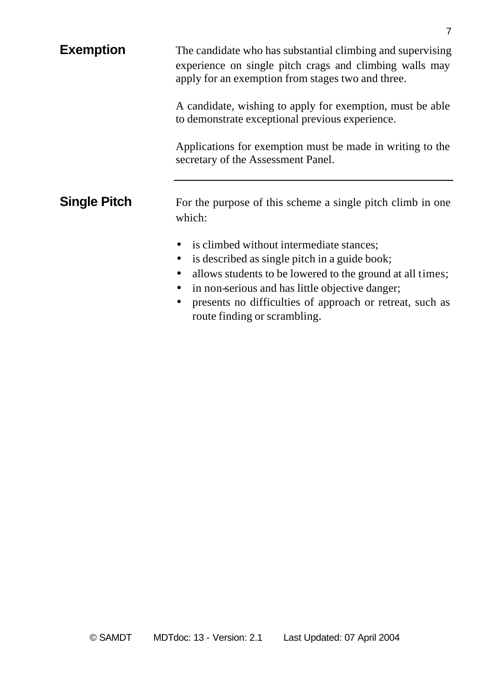| <b>Exemption</b>    | The candidate who has substantial climbing and supervising<br>experience on single pitch crags and climbing walls may<br>apply for an exemption from stages two and three.                                                                                                                                                           |
|---------------------|--------------------------------------------------------------------------------------------------------------------------------------------------------------------------------------------------------------------------------------------------------------------------------------------------------------------------------------|
|                     | A candidate, wishing to apply for exemption, must be able<br>to demonstrate exceptional previous experience.                                                                                                                                                                                                                         |
|                     | Applications for exemption must be made in writing to the<br>secretary of the Assessment Panel.                                                                                                                                                                                                                                      |
| <b>Single Pitch</b> | For the purpose of this scheme a single pitch climb in one<br>which:                                                                                                                                                                                                                                                                 |
|                     | is climbed without intermediate stances;<br>is described as single pitch in a guide book;<br>٠<br>allows students to be lowered to the ground at all times;<br>$\bullet$<br>in non-serious and has little objective danger;<br>presents no difficulties of approach or retreat, such as<br>$\bullet$<br>route finding or scrambling. |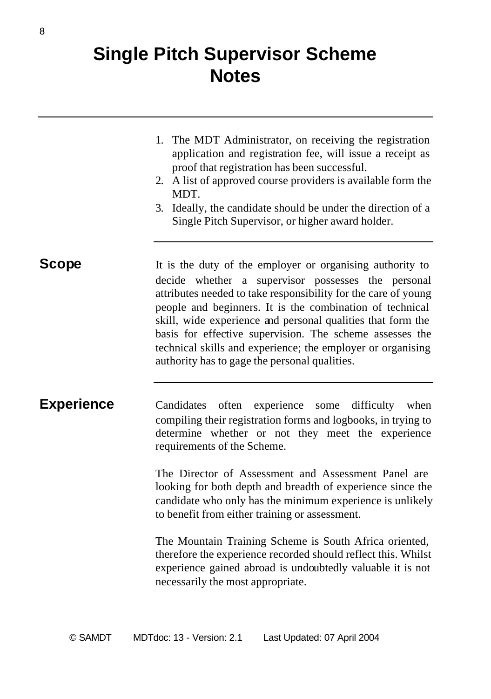## **Single Pitch Supervisor Scheme Notes**

- 1. The MDT Administrator, on receiving the registration application and registration fee, will issue a receipt as proof that registration has been successful.
- 2. A list of approved course providers is available form the **MDT**
- 3. Ideally, the candidate should be under the direction of a Single Pitch Supervisor, or higher award holder.

**Scope** It is the duty of the employer or organising authority to decide whether a supervisor possesses the personal attributes needed to take responsibility for the care of young people and beginners. It is the combination of technical skill, wide experience and personal qualities that form the basis for effective supervision. The scheme assesses the technical skills and experience; the employer or organising authority has to gage the personal qualities.

**Experience** Candidates often experience some difficulty when compiling their registration forms and logbooks, in trying to determine whether or not they meet the experience requirements of the Scheme.

> The Director of Assessment and Assessment Panel are looking for both depth and breadth of experience since the candidate who only has the minimum experience is unlikely to benefit from either training or assessment.

> The Mountain Training Scheme is South Africa oriented, therefore the experience recorded should reflect this. Whilst experience gained abroad is undoubtedly valuable it is not necessarily the most appropriate.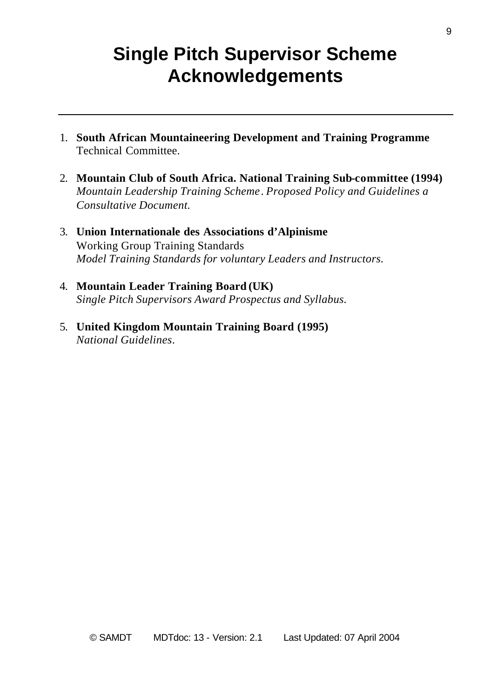## **Single Pitch Supervisor Scheme Acknowledgements**

- 1. **South African Mountaineering Development and Training Programme** Technical Committee.
- 2. **Mountain Club of South Africa. National Training Sub-committee (1994)** *Mountain Leadership Training Scheme*. *Proposed Policy and Guidelines a Consultative Document.*
- 3. **Union Internationale des Associations d'Alpinisme** Working Group Training Standards *Model Training Standards for voluntary Leaders and Instructors.*
- 4. **Mountain Leader Training Board (UK)** *Single Pitch Supervisors Award Prospectus and Syllabus.*
- 5. **United Kingdom Mountain Training Board (1995)** *National Guidelines*.